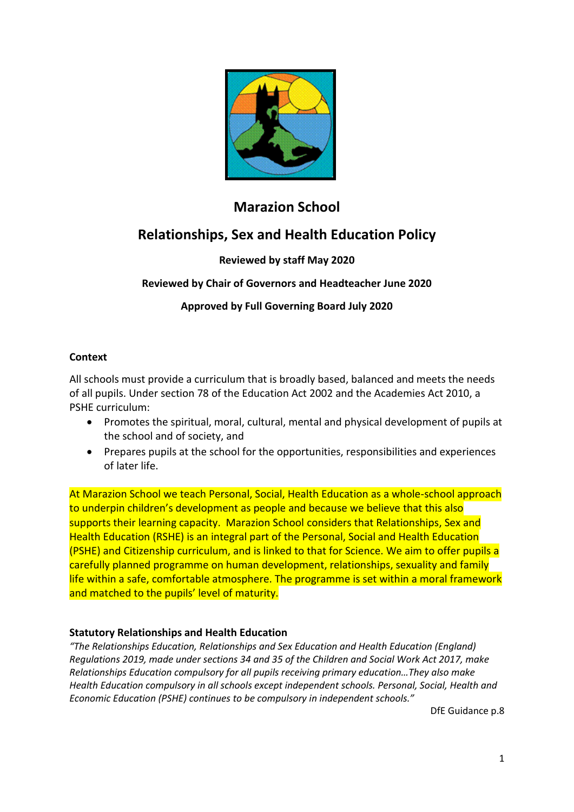

# **Marazion School**

# **Relationships, Sex and Health Education Policy**

#### **Reviewed by staff May 2020**

#### **Reviewed by Chair of Governors and Headteacher June 2020**

#### **Approved by Full Governing Board July 2020**

#### **Context**

All schools must provide a curriculum that is broadly based, balanced and meets the needs of all pupils. Under section 78 of the Education Act 2002 and the Academies Act 2010, a PSHE curriculum:

- Promotes the spiritual, moral, cultural, mental and physical development of pupils at the school and of society, and
- Prepares pupils at the school for the opportunities, responsibilities and experiences of later life.

At Marazion School we teach Personal, Social, Health Education as a whole-school approach to underpin children's development as people and because we believe that this also supports their learning capacity. Marazion School considers that Relationships, Sex and Health Education (RSHE) is an integral part of the Personal, Social and Health Education (PSHE) and Citizenship curriculum, and is linked to that for Science. We aim to offer pupils a carefully planned programme on human development, relationships, sexuality and family life within a safe, comfortable atmosphere. The programme is set within a moral framework and matched to the pupils' level of maturity.

#### **Statutory Relationships and Health Education**

*"The Relationships Education, Relationships and Sex Education and Health Education (England) Regulations 2019, made under sections 34 and 35 of the Children and Social Work Act 2017, make Relationships Education compulsory for all pupils receiving primary education…They also make Health Education compulsory in all schools except independent schools. Personal, Social, Health and Economic Education (PSHE) continues to be compulsory in independent schools."*

DfE Guidance p.8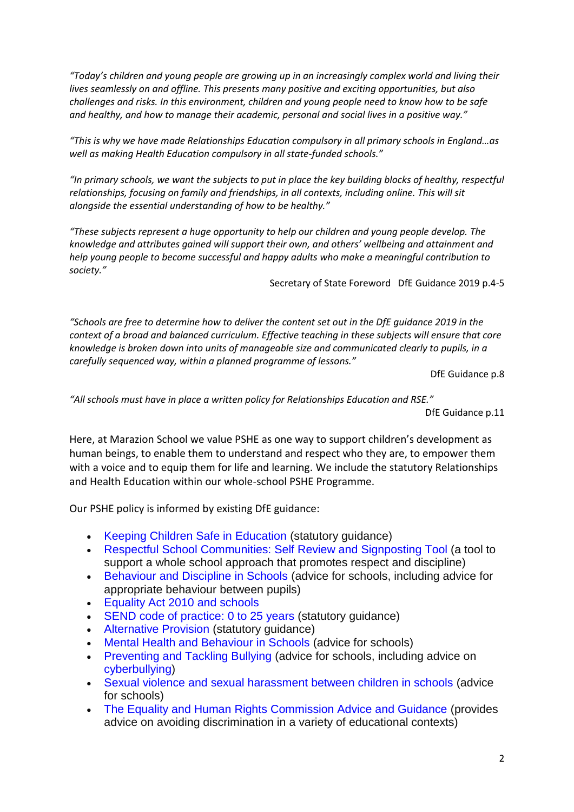*"Today's children and young people are growing up in an increasingly complex world and living their lives seamlessly on and offline. This presents many positive and exciting opportunities, but also challenges and risks. In this environment, children and young people need to know how to be safe and healthy, and how to manage their academic, personal and social lives in a positive way."*

*"This is why we have made Relationships Education compulsory in all primary schools in England…as well as making Health Education compulsory in all state-funded schools."*

*"In primary schools, we want the subjects to put in place the key building blocks of healthy, respectful relationships, focusing on family and friendships, in all contexts, including online. This will sit alongside the essential understanding of how to be healthy."*

*"These subjects represent a huge opportunity to help our children and young people develop. The knowledge and attributes gained will support their own, and others' wellbeing and attainment and help young people to become successful and happy adults who make a meaningful contribution to society."*

Secretary of State Foreword DfE Guidance 2019 p.4-5

*"Schools are free to determine how to deliver the content set out in the DfE guidance 2019 in the context of a broad and balanced curriculum. Effective teaching in these subjects will ensure that core knowledge is broken down into units of manageable size and communicated clearly to pupils, in a carefully sequenced way, within a planned programme of lessons."*

DfE Guidance p.8

*"All schools must have in place a written policy for Relationships Education and RSE."*

DfE Guidance p.11

Here, at Marazion School we value PSHE as one way to support children's development as human beings, to enable them to understand and respect who they are, to empower them with a voice and to equip them for life and learning. We include the statutory Relationships and Health Education within our whole-school PSHE Programme.

Our PSHE policy is informed by existing DfE guidance:

- Keeping Children Safe in Education (statutory guidance)
- Respectful School Communities: Self Review and Signposting Tool (a tool to support a whole school approach that promotes respect and discipline)
- Behaviour and Discipline in Schools (advice for schools, including advice for appropriate behaviour between pupils)
- Equality Act 2010 and schools
- SEND code of practice: 0 to 25 years (statutory guidance)
- Alternative Provision (statutory guidance)
- Mental Health and Behaviour in Schools (advice for schools)
- Preventing and Tackling Bullying (advice for schools, including advice on cyberbullying)
- Sexual violence and sexual harassment between children in schools (advice for schools)
- The Equality and Human Rights Commission Advice and Guidance (provides advice on avoiding discrimination in a variety of educational contexts)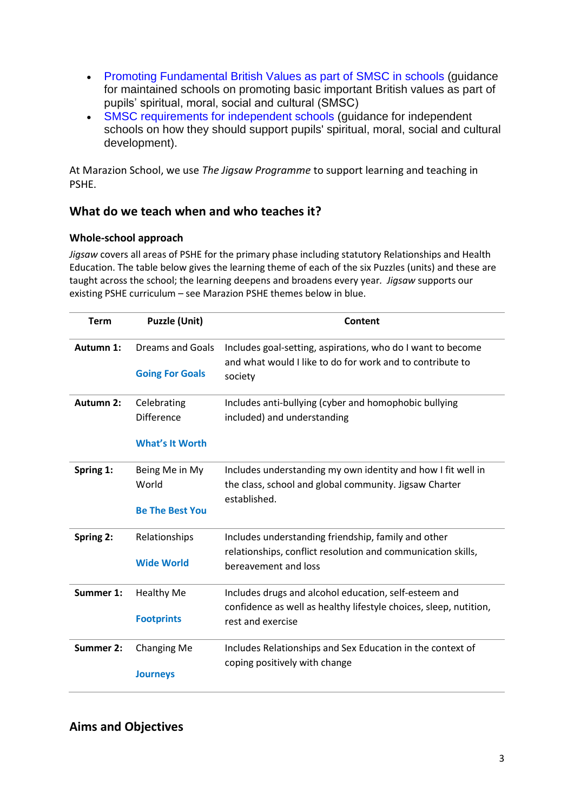- Promoting Fundamental British Values as part of SMSC in schools (guidance for maintained schools on promoting basic important British values as part of pupils' spiritual, moral, social and cultural (SMSC)
- SMSC requirements for independent schools (guidance for independent schools on how they should support pupils' spiritual, moral, social and cultural development).

At Marazion School, we use *The Jigsaw Programme* to support learning and teaching in PSHE.

#### **What do we teach when and who teaches it?**

#### **Whole-school approach**

*Jigsaw* covers all areas of PSHE for the primary phase including statutory Relationships and Health Education. The table below gives the learning theme of each of the six Puzzles (units) and these are taught across the school; the learning deepens and broadens every year*. Jigsaw* supports our existing PSHE curriculum – see Marazion PSHE themes below in blue.

| <b>Term</b>      | <b>Puzzle (Unit)</b>   | <b>Content</b>                                                                       |
|------------------|------------------------|--------------------------------------------------------------------------------------|
| Autumn 1:        | Dreams and Goals       | Includes goal-setting, aspirations, who do I want to become                          |
|                  | <b>Going For Goals</b> | and what would I like to do for work and to contribute to<br>society                 |
| Autumn 2:        | Celebrating            | Includes anti-bullying (cyber and homophobic bullying                                |
|                  | <b>Difference</b>      | included) and understanding                                                          |
|                  | <b>What's It Worth</b> |                                                                                      |
| Spring 1:        | Being Me in My         | Includes understanding my own identity and how I fit well in                         |
|                  | World                  | the class, school and global community. Jigsaw Charter                               |
|                  | <b>Be The Best You</b> | established.                                                                         |
| Spring 2:        | Relationships          | Includes understanding friendship, family and other                                  |
|                  | <b>Wide World</b>      | relationships, conflict resolution and communication skills,<br>bereavement and loss |
| Summer 1:        | <b>Healthy Me</b>      | Includes drugs and alcohol education, self-esteem and                                |
|                  |                        | confidence as well as healthy lifestyle choices, sleep, nutition,                    |
|                  | <b>Footprints</b>      | rest and exercise                                                                    |
| <b>Summer 2:</b> | <b>Changing Me</b>     | Includes Relationships and Sex Education in the context of                           |
|                  | <b>Journeys</b>        | coping positively with change                                                        |
|                  |                        |                                                                                      |

#### **Aims and Objectives**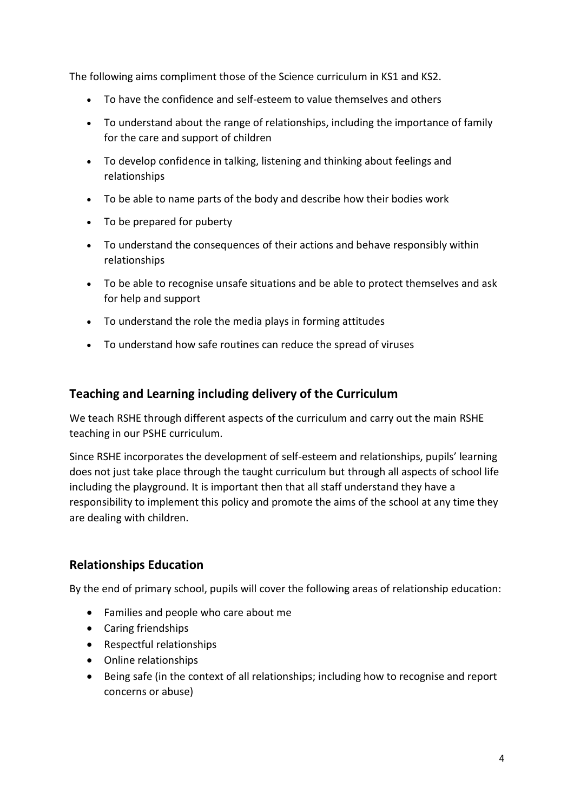The following aims compliment those of the Science curriculum in KS1 and KS2.

- To have the confidence and self-esteem to value themselves and others
- To understand about the range of relationships, including the importance of family for the care and support of children
- To develop confidence in talking, listening and thinking about feelings and relationships
- To be able to name parts of the body and describe how their bodies work
- To be prepared for puberty
- To understand the consequences of their actions and behave responsibly within relationships
- To be able to recognise unsafe situations and be able to protect themselves and ask for help and support
- To understand the role the media plays in forming attitudes
- To understand how safe routines can reduce the spread of viruses

#### **Teaching and Learning including delivery of the Curriculum**

We teach RSHE through different aspects of the curriculum and carry out the main RSHE teaching in our PSHE curriculum.

Since RSHE incorporates the development of self-esteem and relationships, pupils' learning does not just take place through the taught curriculum but through all aspects of school life including the playground. It is important then that all staff understand they have a responsibility to implement this policy and promote the aims of the school at any time they are dealing with children.

#### **Relationships Education**

By the end of primary school, pupils will cover the following areas of relationship education:

- Families and people who care about me
- Caring friendships
- Respectful relationships
- Online relationships
- Being safe (in the context of all relationships; including how to recognise and report concerns or abuse)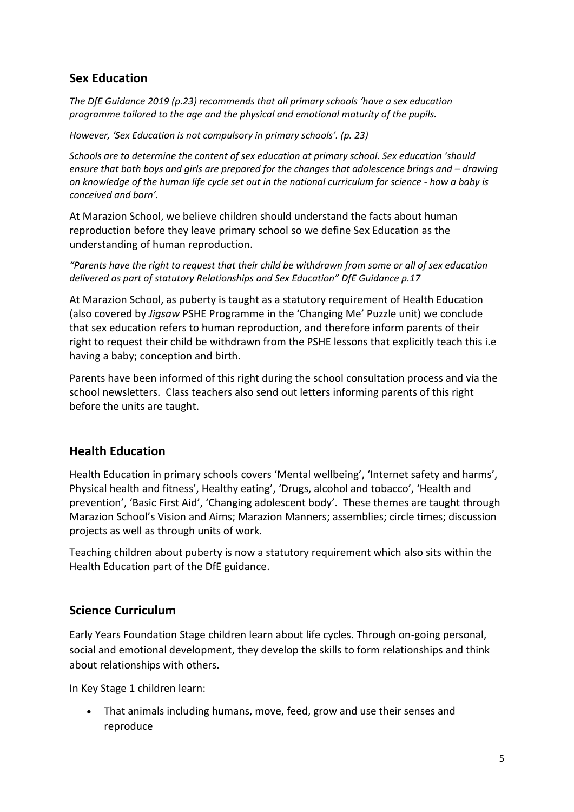# **Sex Education**

*The DfE Guidance 2019 (p.23) recommends that all primary schools 'have a sex education programme tailored to the age and the physical and emotional maturity of the pupils.* 

*However, 'Sex Education is not compulsory in primary schools'. (p. 23)*

*Schools are to determine the content of sex education at primary school. Sex education 'should ensure that both boys and girls are prepared for the changes that adolescence brings and – drawing on knowledge of the human life cycle set out in the national curriculum for science - how a baby is conceived and born'.*

At Marazion School, we believe children should understand the facts about human reproduction before they leave primary school so we define Sex Education as the understanding of human reproduction.

*"Parents have the right to request that their child be withdrawn from some or all of sex education delivered as part of statutory Relationships and Sex Education" DfE Guidance p.17*

At Marazion School, as puberty is taught as a statutory requirement of Health Education (also covered by *Jigsaw* PSHE Programme in the 'Changing Me' Puzzle unit) we conclude that sex education refers to human reproduction, and therefore inform parents of their right to request their child be withdrawn from the PSHE lessons that explicitly teach this i.e having a baby; conception and birth.

Parents have been informed of this right during the school consultation process and via the school newsletters. Class teachers also send out letters informing parents of this right before the units are taught.

# **Health Education**

Health Education in primary schools covers 'Mental wellbeing', 'Internet safety and harms', Physical health and fitness', Healthy eating', 'Drugs, alcohol and tobacco', 'Health and prevention', 'Basic First Aid', 'Changing adolescent body'. These themes are taught through Marazion School's Vision and Aims; Marazion Manners; assemblies; circle times; discussion projects as well as through units of work.

Teaching children about puberty is now a statutory requirement which also sits within the Health Education part of the DfE guidance.

# **Science Curriculum**

Early Years Foundation Stage children learn about life cycles. Through on-going personal, social and emotional development, they develop the skills to form relationships and think about relationships with others.

In Key Stage 1 children learn:

• That animals including humans, move, feed, grow and use their senses and reproduce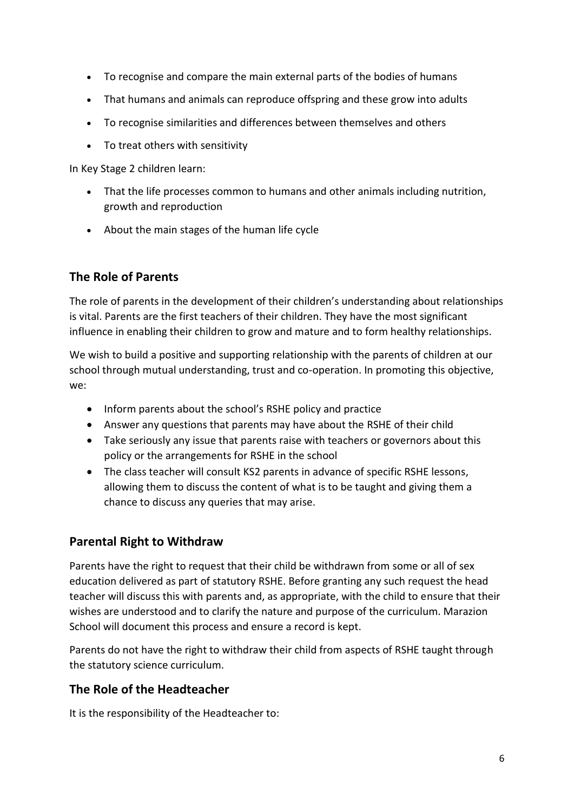- To recognise and compare the main external parts of the bodies of humans
- That humans and animals can reproduce offspring and these grow into adults
- To recognise similarities and differences between themselves and others
- To treat others with sensitivity

In Key Stage 2 children learn:

- That the life processes common to humans and other animals including nutrition, growth and reproduction
- About the main stages of the human life cycle

# **The Role of Parents**

The role of parents in the development of their children's understanding about relationships is vital. Parents are the first teachers of their children. They have the most significant influence in enabling their children to grow and mature and to form healthy relationships.

We wish to build a positive and supporting relationship with the parents of children at our school through mutual understanding, trust and co-operation. In promoting this objective, we:

- Inform parents about the school's RSHE policy and practice
- Answer any questions that parents may have about the RSHE of their child
- Take seriously any issue that parents raise with teachers or governors about this policy or the arrangements for RSHE in the school
- The class teacher will consult KS2 parents in advance of specific RSHE lessons, allowing them to discuss the content of what is to be taught and giving them a chance to discuss any queries that may arise.

# **Parental Right to Withdraw**

Parents have the right to request that their child be withdrawn from some or all of sex education delivered as part of statutory RSHE. Before granting any such request the head teacher will discuss this with parents and, as appropriate, with the child to ensure that their wishes are understood and to clarify the nature and purpose of the curriculum. Marazion School will document this process and ensure a record is kept.

Parents do not have the right to withdraw their child from aspects of RSHE taught through the statutory science curriculum.

# **The Role of the Headteacher**

It is the responsibility of the Headteacher to: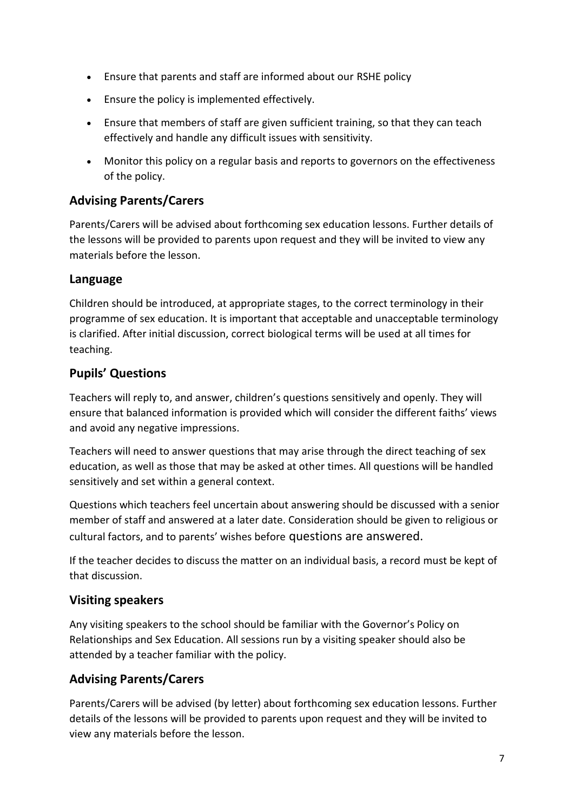- Ensure that parents and staff are informed about our RSHE policy
- Ensure the policy is implemented effectively.
- Ensure that members of staff are given sufficient training, so that they can teach effectively and handle any difficult issues with sensitivity.
- Monitor this policy on a regular basis and reports to governors on the effectiveness of the policy.

#### **Advising Parents/Carers**

Parents/Carers will be advised about forthcoming sex education lessons. Further details of the lessons will be provided to parents upon request and they will be invited to view any materials before the lesson.

#### **Language**

Children should be introduced, at appropriate stages, to the correct terminology in their programme of sex education. It is important that acceptable and unacceptable terminology is clarified. After initial discussion, correct biological terms will be used at all times for teaching.

# **Pupils' Questions**

Teachers will reply to, and answer, children's questions sensitively and openly. They will ensure that balanced information is provided which will consider the different faiths' views and avoid any negative impressions.

Teachers will need to answer questions that may arise through the direct teaching of sex education, as well as those that may be asked at other times. All questions will be handled sensitively and set within a general context.

Questions which teachers feel uncertain about answering should be discussed with a senior member of staff and answered at a later date. Consideration should be given to religious or cultural factors, and to parents' wishes before questions are answered.

If the teacher decides to discuss the matter on an individual basis, a record must be kept of that discussion.

# **Visiting speakers**

Any visiting speakers to the school should be familiar with the Governor's Policy on Relationships and Sex Education. All sessions run by a visiting speaker should also be attended by a teacher familiar with the policy.

# **Advising Parents/Carers**

Parents/Carers will be advised (by letter) about forthcoming sex education lessons. Further details of the lessons will be provided to parents upon request and they will be invited to view any materials before the lesson.